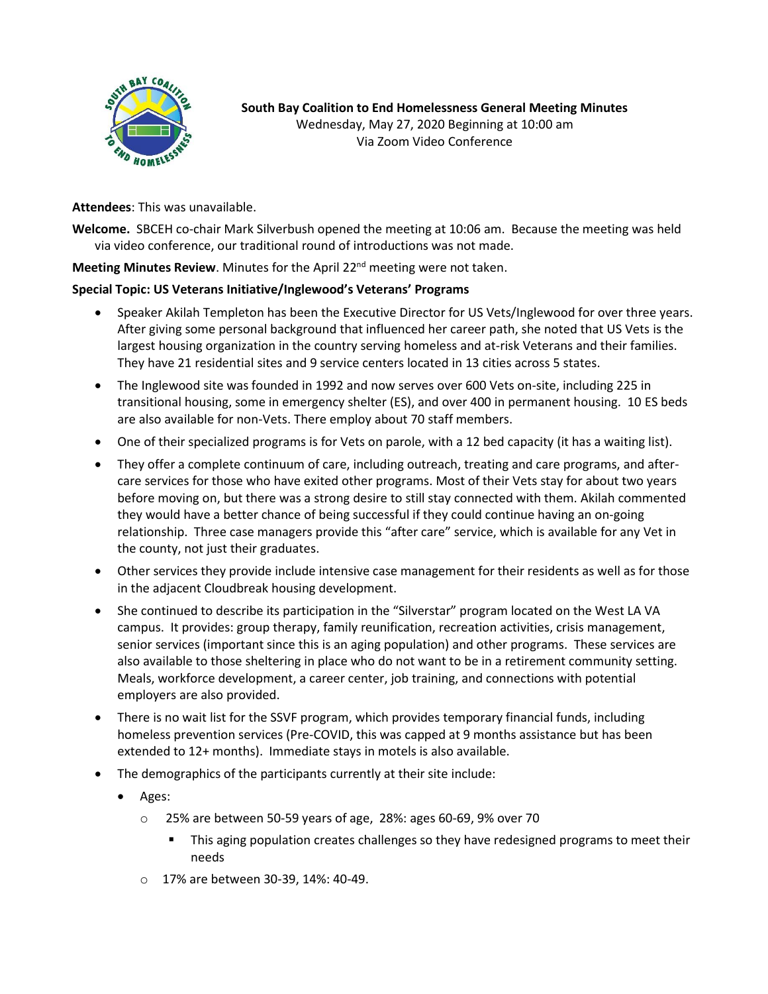

**South Bay Coalition to End Homelessness General Meeting Minutes** Wednesday, May 27, 2020 Beginning at 10:00 am Via Zoom Video Conference

**Attendees**: This was unavailable.

**Welcome.** SBCEH co-chair Mark Silverbush opened the meeting at 10:06 am. Because the meeting was held via video conference, our traditional round of introductions was not made.

**Meeting Minutes Review**. Minutes for the April 22<sup>nd</sup> meeting were not taken.

## **Special Topic: US Veterans Initiative/Inglewood's Veterans' Programs**

- Speaker Akilah Templeton has been the Executive Director for US Vets/Inglewood for over three years. After giving some personal background that influenced her career path, she noted that US Vets is the largest housing organization in the country serving homeless and at-risk Veterans and their families. They have 21 residential sites and 9 service centers located in 13 cities across 5 states.
- The Inglewood site was founded in 1992 and now serves over 600 Vets on-site, including 225 in transitional housing, some in emergency shelter (ES), and over 400 in permanent housing. 10 ES beds are also available for non-Vets. There employ about 70 staff members.
- One of their specialized programs is for Vets on parole, with a 12 bed capacity (it has a waiting list).
- They offer a complete continuum of care, including outreach, treating and care programs, and aftercare services for those who have exited other programs. Most of their Vets stay for about two years before moving on, but there was a strong desire to still stay connected with them. Akilah commented they would have a better chance of being successful if they could continue having an on-going relationship. Three case managers provide this "after care" service, which is available for any Vet in the county, not just their graduates.
- Other services they provide include intensive case management for their residents as well as for those in the adjacent Cloudbreak housing development.
- She continued to describe its participation in the "Silverstar" program located on the West LA VA campus. It provides: group therapy, family reunification, recreation activities, crisis management, senior services (important since this is an aging population) and other programs. These services are also available to those sheltering in place who do not want to be in a retirement community setting. Meals, workforce development, a career center, job training, and connections with potential employers are also provided.
- There is no wait list for the SSVF program, which provides temporary financial funds, including homeless prevention services (Pre-COVID, this was capped at 9 months assistance but has been extended to 12+ months). Immediate stays in motels is also available.
- The demographics of the participants currently at their site include:
	- Ages:
		- o 25% are between 50-59 years of age, 28%: ages 60-69, 9% over 70
			- **■** This aging population creates challenges so they have redesigned programs to meet their needs
		- o 17% are between 30-39, 14%: 40-49.